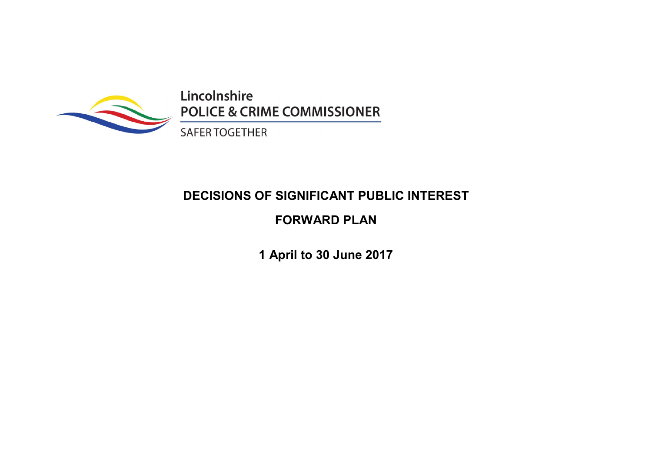

Lincolnshire **POLICE & CRIME COMMISSIONER** 

**SAFER TOGETHER** 

# DECISIONS OF SIGNIFICANT PUBLIC INTEREST

## FORWARD PLAN

1 April to 30 June 2017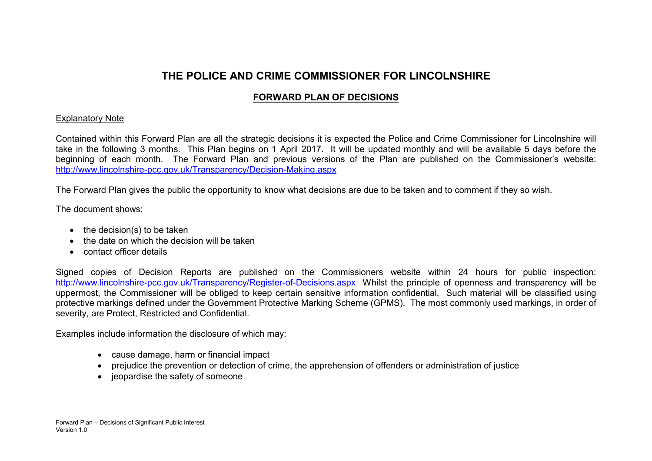### THE POLICE AND CRIME COMMISSIONER FOR LINCOLNSHIRE

### FORWARD PLAN OF DECISIONS

#### Explanatory Note

Contained within this Forward Plan are all the strategic decisions it is expected the Police and Crime Commissioner for Lincolnshire will take in the following 3 months. This Plan begins on 1 April 2017. It will be updated monthly and will be available 5 days before the beginning of each month. The Forward Plan and previous versions of the Plan are published on the Commissioner's website: http://www.lincolnshire-pcc.gov.uk/Transparency/Decision-Making.aspx

The Forward Plan gives the public the opportunity to know what decisions are due to be taken and to comment if they so wish.

The document shows:

- $\bullet$  the decision(s) to be taken
- the date on which the decision will be taken
- contact officer details

Signed copies of Decision Reports are published on the Commissioners website within 24 hours for public inspection: http://www.lincolnshire-pcc.gov.uk/Transparency/Register-of-Decisions.aspx Whilst the principle of openness and transparency will be uppermost, the Commissioner will be obliged to keep certain sensitive information confidential. Such material will be classified using protective markings defined under the Government Protective Marking Scheme (GPMS). The most commonly used markings, in order of severity, are Protect, Restricted and Confidential.

Examples include information the disclosure of which may:

- cause damage, harm or financial impact
- prejudice the prevention or detection of crime, the apprehension of offenders or administration of justice
- jeopardise the safety of someone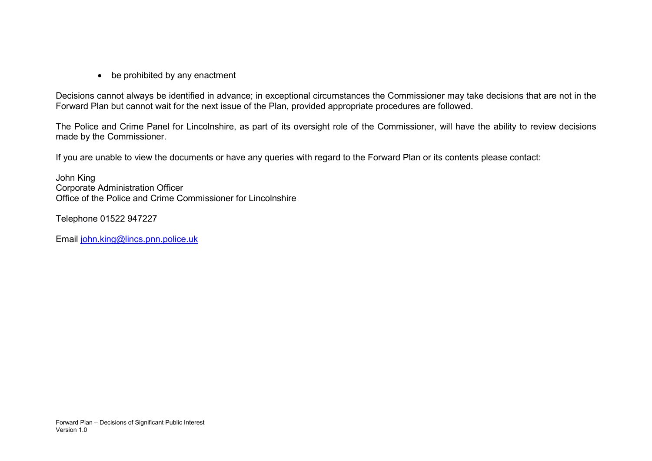• be prohibited by any enactment

Decisions cannot always be identified in advance; in exceptional circumstances the Commissioner may take decisions that are not in the Forward Plan but cannot wait for the next issue of the Plan, provided appropriate procedures are followed.

The Police and Crime Panel for Lincolnshire, as part of its oversight role of the Commissioner, will have the ability to review decisions made by the Commissioner.

If you are unable to view the documents or have any queries with regard to the Forward Plan or its contents please contact:

John King Corporate Administration Officer Office of the Police and Crime Commissioner for Lincolnshire

Telephone 01522 947227

Email john.king@lincs.pnn.police.uk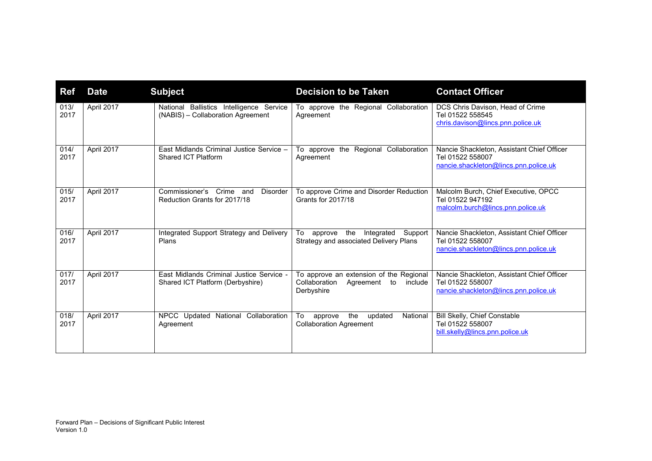| <b>Ref</b>   | <b>Date</b> | <b>Subject</b>                                                                 | <b>Decision to be Taken</b>                                                                          | <b>Contact Officer</b>                                                                                  |
|--------------|-------------|--------------------------------------------------------------------------------|------------------------------------------------------------------------------------------------------|---------------------------------------------------------------------------------------------------------|
| 013/<br>2017 | April 2017  | National Ballistics Intelligence Service<br>(NABIS) - Collaboration Agreement  | To approve the Regional Collaboration<br>Agreement                                                   | DCS Chris Davison, Head of Crime<br>Tel 01522 558545<br>chris.davison@lincs.pnn.police.uk               |
| 014/<br>2017 | April 2017  | East Midlands Criminal Justice Service -<br>Shared ICT Platform                | To approve the Regional Collaboration<br>Agreement                                                   | Nancie Shackleton, Assistant Chief Officer<br>Tel 01522 558007<br>nancie.shackleton@lincs.pnn.police.uk |
| 015/<br>2017 | April 2017  | Crime and<br>Commissioner's<br><b>Disorder</b><br>Reduction Grants for 2017/18 | To approve Crime and Disorder Reduction<br><b>Grants for 2017/18</b>                                 | Malcolm Burch, Chief Executive, OPCC<br>Tel 01522 947192<br>malcolm.burch@lincs.pnn.police.uk           |
| 016/<br>2017 | April 2017  | Integrated Support Strategy and Delivery<br>Plans                              | the<br>Integrated Support<br>To<br>approve<br>Strategy and associated Delivery Plans                 | Nancie Shackleton, Assistant Chief Officer<br>Tel 01522 558007<br>nancie.shackleton@lincs.pnn.police.uk |
| 017/<br>2017 | April 2017  | East Midlands Criminal Justice Service -<br>Shared ICT Platform (Derbyshire)   | To approve an extension of the Regional<br>Collaboration<br>Agreement<br>to<br>include<br>Derbyshire | Nancie Shackleton, Assistant Chief Officer<br>Tel 01522 558007<br>nancie.shackleton@lincs.pnn.police.uk |
| 018/<br>2017 | April 2017  | National Collaboration<br>NPCC Updated<br>Agreement                            | To<br>the<br>National<br>updated<br>approve<br><b>Collaboration Agreement</b>                        | Bill Skelly, Chief Constable<br>Tel 01522 558007<br>bill.skelly@lincs.pnn.police.uk                     |